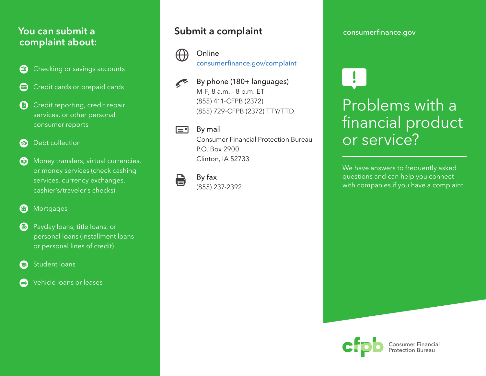#### **You can submit a complaint about:**

- Checking or savings accounts
- Credit cards or prepaid cards
- **C** Credit reporting, credit repair services, or other personal consumer reports
- Debt collection
- **Money transfers, virtual currencies,** or money services (check cashing services, currency exchanges, cashier's/traveler's checks)
- **a** Mortgages
- **B** Payday loans, title loans, or personal loans (installment loans or personal lines of credit)
- Student loans
- Vehicle loans or leases

#### **Submit a complaint**



#### Online [consumerfinance.gov/complaint](https://www.consumerfinance.gov/complaint/)

By phone (180+ languages) M-F, 8 a.m. - 8 p.m. ET (855) 411-CFPB (2372) (855) 729-CFPB (2372) TTY/TTD

#### $\equiv$ By mail

Consumer Financial Protection Bureau P.O. Box 2900 Clinton, IA 52733

#### By fax e

(855) 237-2392

#### [consumerfinance.gov](https://www.consumerfinance.gov)

# Problems with a financial product or service?

We have answers to frequently asked questions and can help you connect with companies if you have a complaint.